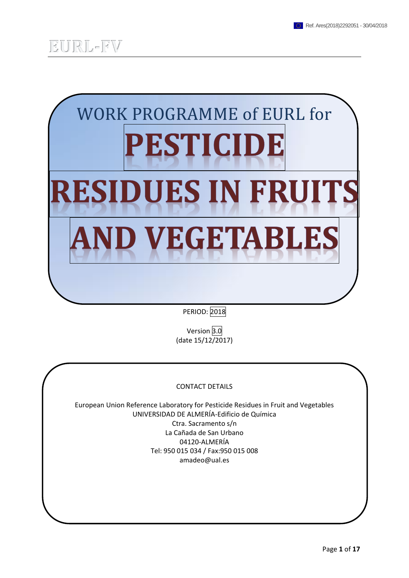

PERIOD: 2018

Version 3.0 (date 15/12/2017)

#### CONTACT DETAILS

European Union Reference Laboratory for Pesticide Residues in Fruit and Vegetables UNIVERSIDAD DE ALMERÍA-Edificio de Química Ctra. Sacramento s/n La Cañada de San Urbano 04120-ALMERÍA Tel: 950 015 034 / Fax:950 015 008 amadeo@ual.es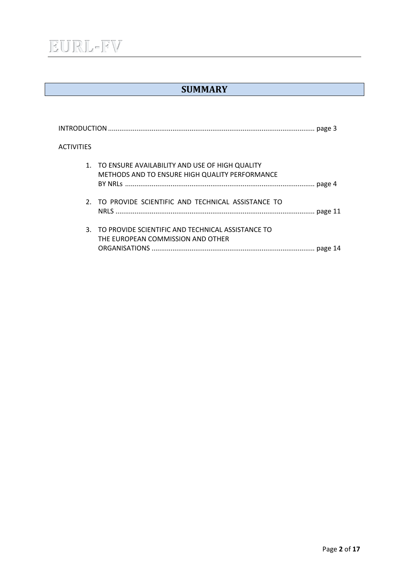## EURL-FV

### **SUMMARY**

| <b>ACTIVITIES</b> |                                                                                                     |  |
|-------------------|-----------------------------------------------------------------------------------------------------|--|
|                   | 1. TO ENSURE AVAILABILITY AND USE OF HIGH QUALITY<br>METHODS AND TO ENSURE HIGH QUALITY PERFORMANCE |  |
|                   | 2. TO PROVIDE SCIENTIFIC AND TECHNICAL ASSISTANCE TO                                                |  |
|                   | 3. TO PROVIDE SCIENTIFIC AND TECHNICAL ASSISTANCE TO<br>THE EUROPEAN COMMISSION AND OTHER           |  |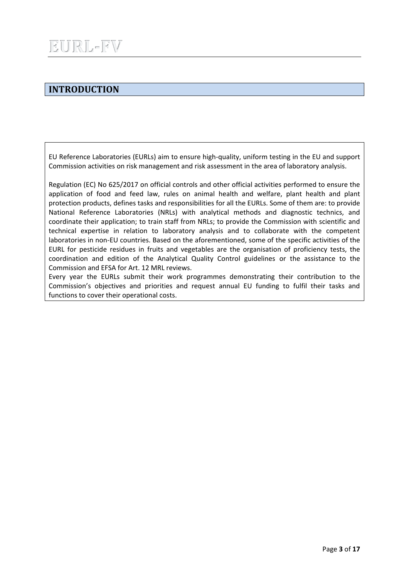### **INTRODUCTION**

EU Reference Laboratories (EURLs) aim to ensure high-quality, uniform testing in the EU and support Commission activities on risk management and risk assessment in the area of laboratory analysis.

Regulation (EC) No 625/2017 on official controls and other official activities performed to ensure the application of food and feed law, rules on animal health and welfare, plant health and plant protection products, defines tasks and responsibilities for all the EURLs. Some of them are: to provide National Reference Laboratories (NRLs) with analytical methods and diagnostic technics, and coordinate their application; to train staff from NRLs; to provide the Commission with scientific and technical expertise in relation to laboratory analysis and to collaborate with the competent laboratories in non-EU countries. Based on the aforementioned, some of the specific activities of the EURL for pesticide residues in fruits and vegetables are the organisation of proficiency tests, the coordination and edition of the Analytical Quality Control guidelines or the assistance to the Commission and EFSA for Art. 12 MRL reviews.

Every year the EURLs submit their work programmes demonstrating their contribution to the Commission's objectives and priorities and request annual EU funding to fulfil their tasks and functions to cover their operational costs.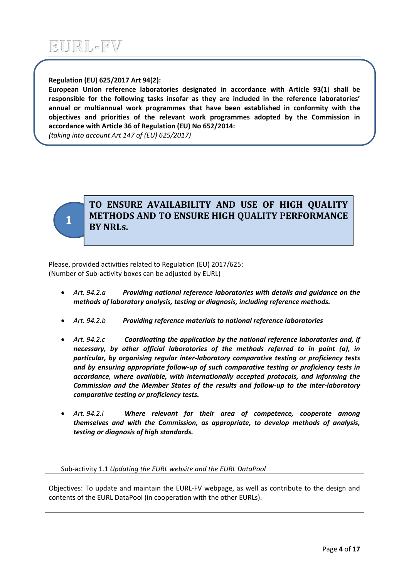#### **Regulation (EU) 625/2017 Art 94(2):**

**European Union reference laboratories designated in accordance with Article 93(1**) **shall be responsible for the following tasks insofar as they are included in the reference laboratories' annual or multiannual work programmes that have been established in conformity with the objectives and priorities of the relevant work programmes adopted by the Commission in accordance with Article 36 of Regulation (EU) No 652/2014:**

*(taking into account Art 147 of (EU) 625/2017)*



### **TO ENSURE AVAILABILITY AND USE OF HIGH QUALITY METHODS AND TO ENSURE HIGH QUALITY PERFORMANCE BY NRLs.**

Please, provided activities related to Regulation (EU) 2017/625: (Number of Sub-activity boxes can be adjusted by EURL)

- *Art. 94.2.a Providing national reference laboratories with details and guidance on the methods of laboratory analysis, testing or diagnosis, including reference methods.*
- *Art. 94.2.b Providing reference materials to national reference laboratories*
- *Art. 94.2.c Coordinating the application by the national reference laboratories and, if necessary, by other official laboratories of the methods referred to in point (a), in particular, by organising regular inter-laboratory comparative testing or proficiency tests and by ensuring appropriate follow-up of such comparative testing or proficiency tests in accordance, where available, with internationally accepted protocols, and informing the Commission and the Member States of the results and follow-up to the inter-laboratory comparative testing or proficiency tests.*
- *Art. 94.2.l Where relevant for their area of competence, cooperate among themselves and with the Commission, as appropriate, to develop methods of analysis, testing or diagnosis of high standards.*

Sub-activity 1.1 *Updating the EURL website and the EURL DataPool*

Objectives: To update and maintain the EURL-FV webpage, as well as contribute to the design and contents of the EURL DataPool (in cooperation with the other EURLs).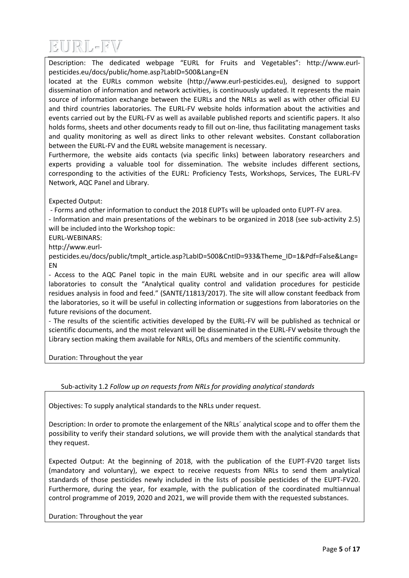

Description: The dedicated webpage "EURL for Fruits and Vegetables": http://www.eurlpesticides.eu/docs/public/home.asp?LabID=500&Lang=EN

located at the EURLs common website (http://www.eurl-pesticides.eu), designed to support dissemination of information and network activities, is continuously updated. It represents the main source of information exchange between the EURLs and the NRLs as well as with other official EU and third countries laboratories. The EURL-FV website holds information about the activities and events carried out by the EURL-FV as well as available published reports and scientific papers. It also holds forms, sheets and other documents ready to fill out on-line, thus facilitating management tasks and quality monitoring as well as direct links to other relevant websites. Constant collaboration between the EURL-FV and the EURL website management is necessary.

Furthermore, the website aids contacts (via specific links) between laboratory researchers and experts providing a valuable tool for dissemination. The website includes different sections, corresponding to the activities of the EURL: Proficiency Tests, Workshops, Services, The EURL-FV Network, AQC Panel and Library.

Expected Output:

- Forms and other information to conduct the 2018 EUPTs will be uploaded onto EUPT-FV area.

- Information and main presentations of the webinars to be organized in 2018 (see sub-activity 2.5) will be included into the Workshop topic:

EURL-WEBINARS:

http://www.eurl-

pesticides.eu/docs/public/tmplt\_article.asp?LabID=500&CntID=933&Theme\_ID=1&Pdf=False&Lang= EN

- Access to the AQC Panel topic in the main EURL website and in our specific area will allow laboratories to consult the "Analytical quality control and validation procedures for pesticide residues analysis in food and feed." (SANTE/11813/2017). The site will allow constant feedback from the laboratories, so it will be useful in collecting information or suggestions from laboratories on the future revisions of the document.

- The results of the scientific activities developed by the EURL-FV will be published as technical or scientific documents, and the most relevant will be disseminated in the EURL-FV website through the Library section making them available for NRLs, OfLs and members of the scientific community.

Duration: Throughout the year

Sub-activity 1.2 *Follow up on requests from NRLs for providing analytical standards*

Objectives: To supply analytical standards to the NRLs under request.

Description: In order to promote the enlargement of the NRLs´ analytical scope and to offer them the possibility to verify their standard solutions, we will provide them with the analytical standards that they request.

Expected Output: At the beginning of 2018, with the publication of the EUPT-FV20 target lists (mandatory and voluntary), we expect to receive requests from NRLs to send them analytical standards of those pesticides newly included in the lists of possible pesticides of the EUPT-FV20. Furthermore, during the year, for example, with the publication of the coordinated multiannual control programme of 2019, 2020 and 2021, we will provide them with the requested substances.

Duration: Throughout the year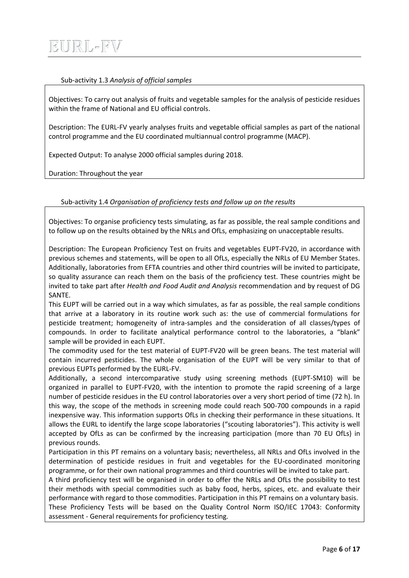#### Sub-activity 1.3 *Analysis of official samples*

Objectives: To carry out analysis of fruits and vegetable samples for the analysis of pesticide residues within the frame of National and EU official controls.

Description: The EURL-FV yearly analyses fruits and vegetable official samples as part of the national control programme and the EU coordinated multiannual control programme (MACP).

Expected Output: To analyse 2000 official samples during 2018.

Duration: Throughout the year

#### Sub-activity 1.4 *Organisation of proficiency tests and follow up on the results*

Objectives: To organise proficiency tests simulating, as far as possible, the real sample conditions and to follow up on the results obtained by the NRLs and OfLs, emphasizing on unacceptable results.

Description: The European Proficiency Test on fruits and vegetables EUPT-FV20, in accordance with previous schemes and statements, will be open to all OfLs, especially the NRLs of EU Member States. Additionally, laboratories from EFTA countries and other third countries will be invited to participate, so quality assurance can reach them on the basis of the proficiency test. These countries might be invited to take part after *Health and Food Audit and Analysis* recommendation and by request of DG SANTE.

This EUPT will be carried out in a way which simulates, as far as possible, the real sample conditions that arrive at a laboratory in its routine work such as: the use of commercial formulations for pesticide treatment; homogeneity of intra-samples and the consideration of all classes/types of compounds. In order to facilitate analytical performance control to the laboratories, a "blank" sample will be provided in each EUPT.

The commodity used for the test material of EUPT-FV20 will be green beans. The test material will contain incurred pesticides. The whole organisation of the EUPT will be very similar to that of previous EUPTs performed by the EURL-FV.

Additionally, a second intercomparative study using screening methods (EUPT-SM10) will be organized in parallel to EUPT-FV20, with the intention to promote the rapid screening of a large number of pesticide residues in the EU control laboratories over a very short period of time (72 h). In this way, the scope of the methods in screening mode could reach 500-700 compounds in a rapid inexpensive way. This information supports OfLs in checking their performance in these situations. It allows the EURL to identify the large scope laboratories ("scouting laboratories"). This activity is well accepted by OfLs as can be confirmed by the increasing participation (more than 70 EU OfLs) in previous rounds.

Participation in this PT remains on a voluntary basis; nevertheless, all NRLs and OfLs involved in the determination of pesticide residues in fruit and vegetables for the EU-coordinated monitoring programme, or for their own national programmes and third countries will be invited to take part.

A third proficiency test will be organised in order to offer the NRLs and OfLs the possibility to test their methods with special commodities such as baby food, herbs, spices, etc. and evaluate their performance with regard to those commodities. Participation in this PT remains on a voluntary basis. These Proficiency Tests will be based on the Quality Control Norm ISO/IEC 17043: Conformity assessment - General requirements for proficiency testing.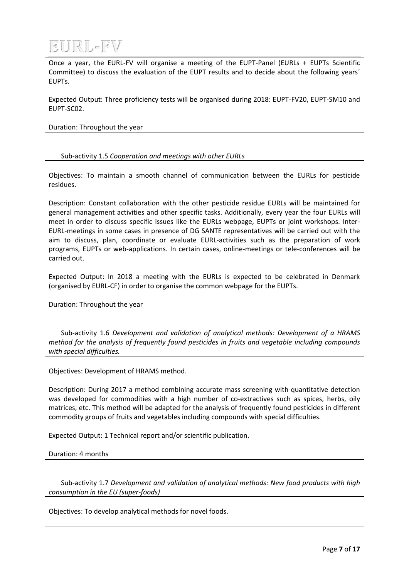

Once a year, the EURL-FV will organise a meeting of the EUPT-Panel (EURLs + EUPTs Scientific Committee) to discuss the evaluation of the EUPT results and to decide about the following years´ EUPTs.

Expected Output: Three proficiency tests will be organised during 2018: EUPT-FV20, EUPT-SM10 and EUPT-SC02.

Duration: Throughout the year

#### Sub-activity 1.5 *Cooperation and meetings with other EURLs*

Objectives: To maintain a smooth channel of communication between the EURLs for pesticide residues.

Description: Constant collaboration with the other pesticide residue EURLs will be maintained for general management activities and other specific tasks. Additionally, every year the four EURLs will meet in order to discuss specific issues like the EURLs webpage, EUPTs or joint workshops. Inter-EURL-meetings in some cases in presence of DG SANTE representatives will be carried out with the aim to discuss, plan, coordinate or evaluate EURL-activities such as the preparation of work programs, EUPTs or web-applications. In certain cases, online-meetings or tele-conferences will be carried out.

Expected Output: In 2018 a meeting with the EURLs is expected to be celebrated in Denmark (organised by EURL-CF) in order to organise the common webpage for the EUPTs.

Duration: Throughout the year

Sub-activity 1.6 *Development and validation of analytical methods: Development of a HRAMS method for the analysis of frequently found pesticides in fruits and vegetable including compounds with special difficulties.*

Objectives: Development of HRAMS method.

Description: During 2017 a method combining accurate mass screening with quantitative detection was developed for commodities with a high number of co-extractives such as spices, herbs, oily matrices, etc. This method will be adapted for the analysis of frequently found pesticides in different commodity groups of fruits and vegetables including compounds with special difficulties.

Expected Output: 1 Technical report and/or scientific publication.

Duration: 4 months

Sub-activity 1.7 *Development and validation of analytical methods: New food products with high consumption in the EU (super-foods)*

Objectives: To develop analytical methods for novel foods.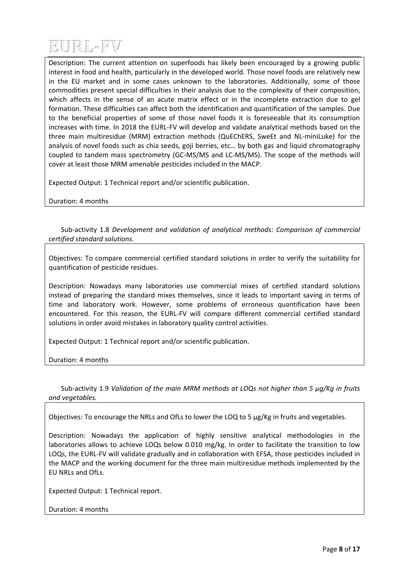

Description: The current attention on superfoods has likely been encouraged by a growing public interest in food and health, particularly in the developed world. Those novel foods are relatively new in the EU market and in some cases unknown to the laboratories. Additionally, some of those commodities present special difficulties in their analysis due to the complexity of their composition, which affects in the sense of an acute matrix effect or in the incomplete extraction due to gel formation. These difficulties can affect both the identification and quantification of the samples. Due to the beneficial properties of some of those novel foods it is foreseeable that its consumption increases with time. In 2018 the EURL-FV will develop and validate analytical methods based on the three main multiresidue (MRM) extraction methods (QuEChERS, SweEt and NL-miniLuke) for the analysis of novel foods such as chia seeds, goji berries, etc… by both gas and liquid chromatography coupled to tandem mass spectrometry (GC-MS/MS and LC-MS/MS). The scope of the methods will cover at least those MRM amenable pesticides included in the MACP.

Expected Output: 1 Technical report and/or scientific publication.

Duration: 4 months

Sub-activity 1.8 *Development and validation of analytical methods: Comparison of commercial certified standard solutions.*

Objectives: To compare commercial certified standard solutions in order to verify the suitability for quantification of pesticide residues.

Description: Nowadays many laboratories use commercial mixes of certified standard solutions instead of preparing the standard mixes themselves, since it leads to important saving in terms of time and laboratory work. However, some problems of erroneous quantification have been encountered. For this reason, the EURL-FV will compare different commercial certified standard solutions in order avoid mistakes in laboratory quality control activities.

Expected Output: 1 Technical report and/or scientific publication.

Duration: 4 months

Sub-activity 1.9 *Validation of the main MRM methods at LOQs not higher than 5 µg/Kg in fruits and vegetables.*

Objectives: To encourage the NRLs and OfLs to lower the LOQ to 5 µg/Kg in fruits and vegetables.

Description: Nowadays the application of highly sensitive analytical methodologies in the laboratories allows to achieve LOQs below 0.010 mg/kg. In order to facilitate the transition to low LOQs, the EURL-FV will validate gradually and in collaboration with EFSA, those pesticides included in the MACP and the working document for the three main multiresidue methods implemented by the EU NRLs and OfLs.

Expected Output: 1 Technical report.

Duration: 4 months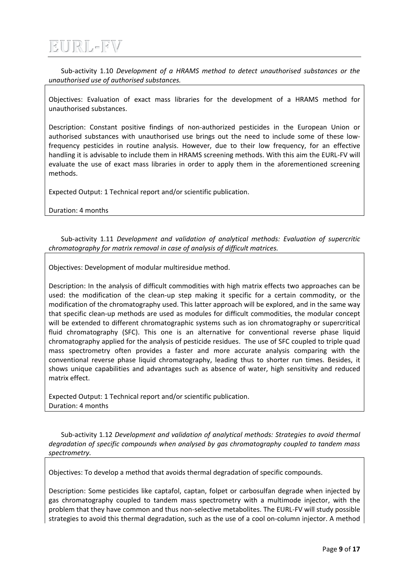## EURL-FV

Sub-activity 1.10 *Development of a HRAMS method to detect unauthorised substances or the unauthorised use of authorised substances.*

Objectives: Evaluation of exact mass libraries for the development of a HRAMS method for unauthorised substances.

Description: Constant positive findings of non-authorized pesticides in the European Union or authorised substances with unauthorised use brings out the need to include some of these lowfrequency pesticides in routine analysis. However, due to their low frequency, for an effective handling it is advisable to include them in HRAMS screening methods. With this aim the EURL-FV will evaluate the use of exact mass libraries in order to apply them in the aforementioned screening methods.

Expected Output: 1 Technical report and/or scientific publication.

Duration: 4 months

Sub-activity 1.11 *Development and validation of analytical methods: Evaluation of supercritic chromatography for matrix removal in case of analysis of difficult matrices.* 

Objectives: Development of modular multiresidue method.

Description: In the analysis of difficult commodities with high matrix effects two approaches can be used: the modification of the clean-up step making it specific for a certain commodity, or the modification of the chromatography used. This latter approach will be explored, and in the same way that specific clean-up methods are used as modules for difficult commodities, the modular concept will be extended to different chromatographic systems such as ion chromatography or supercritical fluid chromatography (SFC). This one is an alternative for conventional reverse phase liquid chromatography applied for the analysis of pesticide residues. The use of SFC coupled to triple quad mass spectrometry often provides a faster and more accurate analysis comparing with the conventional reverse phase liquid chromatography, leading thus to shorter run times. Besides, it shows unique capabilities and advantages such as absence of water, high sensitivity and reduced matrix effect.

Expected Output: 1 Technical report and/or scientific publication. Duration: 4 months

Sub-activity 1.12 *Development and validation of analytical methods: Strategies to avoid thermal degradation of specific compounds when analysed by gas chromatography coupled to tandem mass spectrometry.*

Objectives: To develop a method that avoids thermal degradation of specific compounds.

Description: Some pesticides like captafol, captan, folpet or carbosulfan degrade when injected by gas chromatography coupled to tandem mass spectrometry with a multimode injector, with the problem that they have common and thus non-selective metabolites. The EURL-FV will study possible strategies to avoid this thermal degradation, such as the use of a cool on-column injector. A method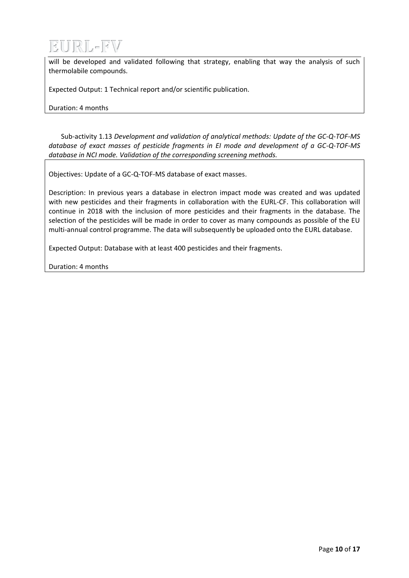

will be developed and validated following that strategy, enabling that way the analysis of such thermolabile compounds.

Expected Output: 1 Technical report and/or scientific publication.

Duration: 4 months

Sub-activity 1.13 *Development and validation of analytical methods: Update of the GC-Q-TOF-MS database of exact masses of pesticide fragments in EI mode and development of a GC-Q-TOF-MS database in NCI mode. Validation of the corresponding screening methods.*

Objectives: Update of a GC-Q-TOF-MS database of exact masses.

Description: In previous years a database in electron impact mode was created and was updated with new pesticides and their fragments in collaboration with the EURL-CF. This collaboration will continue in 2018 with the inclusion of more pesticides and their fragments in the database. The selection of the pesticides will be made in order to cover as many compounds as possible of the EU multi-annual control programme. The data will subsequently be uploaded onto the EURL database.

Expected Output: Database with at least 400 pesticides and their fragments.

Duration: 4 months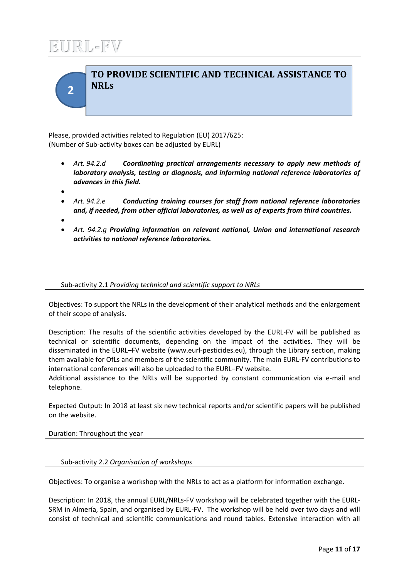## URL-FV

**2**

## **TO PROVIDE SCIENTIFIC AND TECHNICAL ASSISTANCE TO NRLs**

Please, provided activities related to Regulation (EU) 2017/625: (Number of Sub-activity boxes can be adjusted by EURL)

- *Art. 94.2.d Coordinating practical arrangements necessary to apply new methods of laboratory analysis, testing or diagnosis, and informing national reference laboratories of advances in this field.*
- $\bullet$
- *Art. 94.2.e Conducting training courses for staff from national reference laboratories and, if needed, from other official laboratories, as well as of experts from third countries.*
- $\bullet$
- *Art. 94.2.g Providing information on relevant national, Union and international research activities to national reference laboratories.*

#### Sub-activity 2.1 *Providing technical and scientific support to NRLs*

Objectives: To support the NRLs in the development of their analytical methods and the enlargement of their scope of analysis.

Description: The results of the scientific activities developed by the EURL-FV will be published as technical or scientific documents, depending on the impact of the activities. They will be disseminated in the EURL–FV website (www.eurl-pesticides.eu), through the Library section, making them available for OfLs and members of the scientific community. The main EURL-FV contributions to international conferences will also be uploaded to the EURL–FV website.

Additional assistance to the NRLs will be supported by constant communication via e-mail and telephone.

Expected Output: In 2018 at least six new technical reports and/or scientific papers will be published on the website.

Duration: Throughout the year

#### Sub-activity 2.2 *Organisation of workshops*

Objectives: To organise a workshop with the NRLs to act as a platform for information exchange.

Description: In 2018, the annual EURL/NRLs-FV workshop will be celebrated together with the EURL-SRM in Almería, Spain, and organised by EURL-FV. The workshop will be held over two days and will consist of technical and scientific communications and round tables. Extensive interaction with all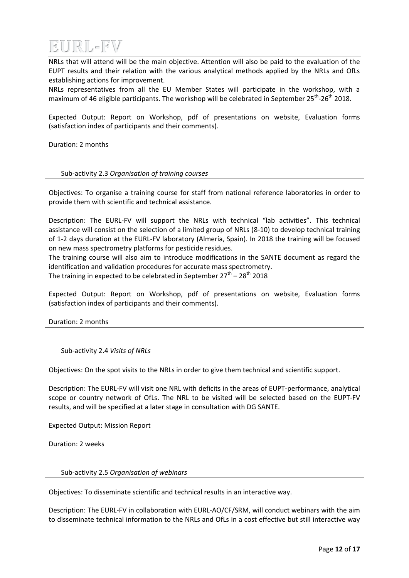

NRLs that will attend will be the main objective. Attention will also be paid to the evaluation of the EUPT results and their relation with the various analytical methods applied by the NRLs and OfLs establishing actions for improvement.

NRLs representatives from all the EU Member States will participate in the workshop, with a maximum of 46 eligible participants. The workshop will be celebrated in September 25<sup>th</sup>-26<sup>th</sup> 2018.

Expected Output: Report on Workshop, pdf of presentations on website, Evaluation forms (satisfaction index of participants and their comments).

Duration: 2 months

#### Sub-activity 2.3 *Organisation of training courses*

Objectives: To organise a training course for staff from national reference laboratories in order to provide them with scientific and technical assistance.

Description: The EURL-FV will support the NRLs with technical "lab activities". This technical assistance will consist on the selection of a limited group of NRLs (8-10) to develop technical training of 1-2 days duration at the EURL-FV laboratory (Almería, Spain). In 2018 the training will be focused on new mass spectrometry platforms for pesticide residues.

The training course will also aim to introduce modifications in the SANTE document as regard the identification and validation procedures for accurate mass spectrometry.

The training in expected to be celebrated in September 27<sup>th</sup> – 28<sup>th</sup> 2018

Expected Output: Report on Workshop, pdf of presentations on website, Evaluation forms (satisfaction index of participants and their comments).

Duration: 2 months

#### Sub-activity 2.4 *Visits of NRLs*

Objectives: On the spot visits to the NRLs in order to give them technical and scientific support.

Description: The EURL-FV will visit one NRL with deficits in the areas of EUPT-performance, analytical scope or country network of OfLs. The NRL to be visited will be selected based on the EUPT-FV results, and will be specified at a later stage in consultation with DG SANTE.

Expected Output: Mission Report

Duration: 2 weeks

#### Sub-activity 2.5 *Organisation of webinars*

Objectives: To disseminate scientific and technical results in an interactive way.

Description: The EURL-FV in collaboration with EURL-AO/CF/SRM, will conduct webinars with the aim to disseminate technical information to the NRLs and OfLs in a cost effective but still interactive way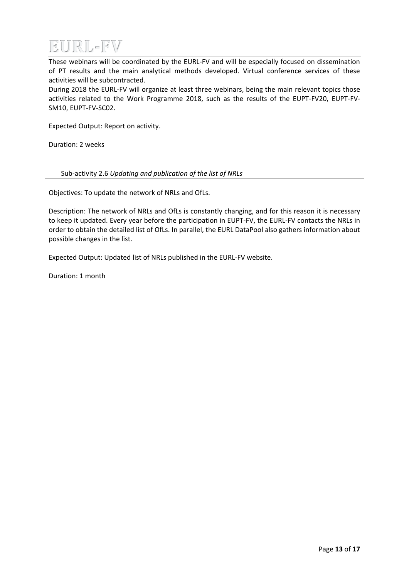

These webinars will be coordinated by the EURL-FV and will be especially focused on dissemination of PT results and the main analytical methods developed. Virtual conference services of these activities will be subcontracted.

During 2018 the EURL-FV will organize at least three webinars, being the main relevant topics those activities related to the Work Programme 2018, such as the results of the EUPT-FV20, EUPT-FV-SM10, EUPT-FV-SC02.

Expected Output: Report on activity.

Duration: 2 weeks

#### Sub-activity 2.6 *Updating and publication of the list of NRLs*

Objectives: To update the network of NRLs and OfLs.

Description: The network of NRLs and OfLs is constantly changing, and for this reason it is necessary to keep it updated. Every year before the participation in EUPT-FV, the EURL-FV contacts the NRLs in order to obtain the detailed list of OfLs. In parallel, the EURL DataPool also gathers information about possible changes in the list.

Expected Output: Updated list of NRLs published in the EURL-FV website.

Duration: 1 month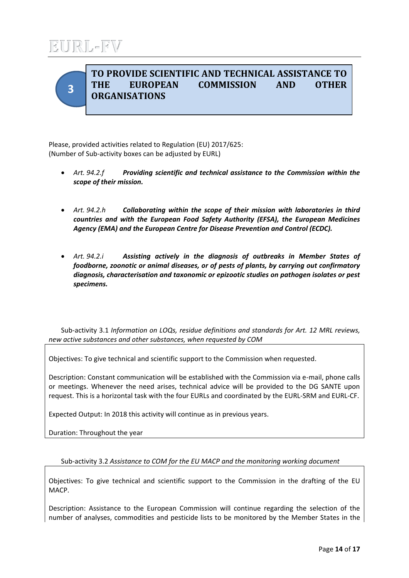## $|||R|| = |F|$



### **TO PROVIDE SCIENTIFIC AND TECHNICAL ASSISTANCE TO THE EUROPEAN COMMISSION AND OTHER ORGANISATIONS**

Please, provided activities related to Regulation (EU) 2017/625: (Number of Sub-activity boxes can be adjusted by EURL)

- *Art. 94.2.f Providing scientific and technical assistance to the Commission within the scope of their mission.*
- *Art. 94.2.h Collaborating within the scope of their mission with laboratories in third countries and with the European Food Safety Authority (EFSA), the European Medicines Agency (EMA) and the European Centre for Disease Prevention and Control (ECDC).*
- *Art. 94.2.i Assisting actively in the diagnosis of outbreaks in Member States of foodborne, zoonotic or animal diseases, or of pests of plants, by carrying out confirmatory diagnosis, characterisation and taxonomic or epizootic studies on pathogen isolates or pest specimens.*

Sub-activity 3.1 *Information on LOQs, residue definitions and standards for Art. 12 MRL reviews, new active substances and other substances, when requested by COM*

Objectives: To give technical and scientific support to the Commission when requested.

Description: Constant communication will be established with the Commission via e-mail, phone calls or meetings. Whenever the need arises, technical advice will be provided to the DG SANTE upon request. This is a horizontal task with the four EURLs and coordinated by the EURL-SRM and EURL-CF.

Expected Output: In 2018 this activity will continue as in previous years.

Duration: Throughout the year

Sub-activity 3.2 *Assistance to COM for the EU MACP and the monitoring working document*

Objectives: To give technical and scientific support to the Commission in the drafting of the EU MACP.

Description: Assistance to the European Commission will continue regarding the selection of the number of analyses, commodities and pesticide lists to be monitored by the Member States in the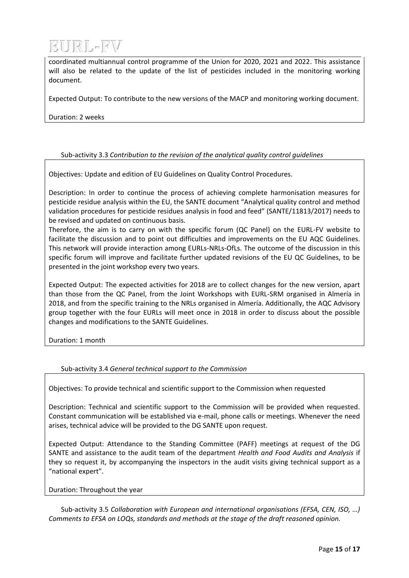

coordinated multiannual control programme of the Union for 2020, 2021 and 2022. This assistance will also be related to the update of the list of pesticides included in the monitoring working document.

Expected Output: To contribute to the new versions of the MACP and monitoring working document.

Duration: 2 weeks

#### Sub-activity 3.3 *Contribution to the revision of the analytical quality control guidelines*

Objectives: Update and edition of EU Guidelines on Quality Control Procedures.

Description: In order to continue the process of achieving complete harmonisation measures for pesticide residue analysis within the EU, the SANTE document "Analytical quality control and method validation procedures for pesticide residues analysis in food and feed" (SANTE/11813/2017) needs to be revised and updated on continuous basis.

Therefore, the aim is to carry on with the specific forum (QC Panel) on the EURL-FV website to facilitate the discussion and to point out difficulties and improvements on the EU AQC Guidelines. This network will provide interaction among EURLs-NRLs-OfLs. The outcome of the discussion in this specific forum will improve and facilitate further updated revisions of the EU QC Guidelines, to be presented in the joint workshop every two years.

Expected Output: The expected activities for 2018 are to collect changes for the new version, apart than those from the QC Panel, from the Joint Workshops with EURL-SRM organised in Almería in 2018, and from the specific training to the NRLs organised in Almería. Additionally, the AQC Advisory group together with the four EURLs will meet once in 2018 in order to discuss about the possible changes and modifications to the SANTE Guidelines.

Duration: 1 month

#### Sub-activity 3.4 *General technical support to the Commission*

Objectives: To provide technical and scientific support to the Commission when requested

Description: Technical and scientific support to the Commission will be provided when requested. Constant communication will be established via e-mail, phone calls or meetings. Whenever the need arises, technical advice will be provided to the DG SANTE upon request.

Expected Output: Attendance to the Standing Committee (PAFF) meetings at request of the DG SANTE and assistance to the audit team of the department *Health and Food Audits and Analysis* if they so request it, by accompanying the inspectors in the audit visits giving technical support as a "national expert".

Duration: Throughout the year

Sub-activity 3.5 *Collaboration with European and international organisations (EFSA, CEN, ISO, …) Comments to EFSA on LOQs, standards and methods at the stage of the draft reasoned opinion.*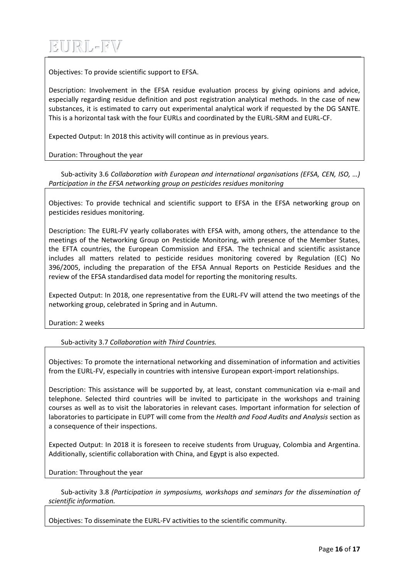# EURL-FV

Objectives: To provide scientific support to EFSA.

Description: Involvement in the EFSA residue evaluation process by giving opinions and advice, especially regarding residue definition and post registration analytical methods. In the case of new substances, it is estimated to carry out experimental analytical work if requested by the DG SANTE. This is a horizontal task with the four EURLs and coordinated by the EURL-SRM and EURL-CF.

Expected Output: In 2018 this activity will continue as in previous years.

Duration: Throughout the year

Sub-activity 3.6 *Collaboration with European and international organisations (EFSA, CEN, ISO, …) Participation in the EFSA networking group on pesticides residues monitoring*

Objectives: To provide technical and scientific support to EFSA in the EFSA networking group on pesticides residues monitoring.

Description: The EURL-FV yearly collaborates with EFSA with, among others, the attendance to the meetings of the Networking Group on Pesticide Monitoring, with presence of the Member States, the EFTA countries, the European Commission and EFSA. The technical and scientific assistance includes all matters related to pesticide residues monitoring covered by Regulation (EC) No 396/2005, including the preparation of the EFSA Annual Reports on Pesticide Residues and the review of the EFSA standardised data model for reporting the monitoring results.

Expected Output: In 2018, one representative from the EURL-FV will attend the two meetings of the networking group, celebrated in Spring and in Autumn.

Duration: 2 weeks

Sub-activity 3.7 *Collaboration with Third Countries.*

Objectives: To promote the international networking and dissemination of information and activities from the EURL-FV, especially in countries with intensive European export-import relationships.

Description: This assistance will be supported by, at least, constant communication via e-mail and telephone. Selected third countries will be invited to participate in the workshops and training courses as well as to visit the laboratories in relevant cases. Important information for selection of laboratories to participate in EUPT will come from the *Health and Food Audits and Analysis* section as a consequence of their inspections.

Expected Output: In 2018 it is foreseen to receive students from Uruguay, Colombia and Argentina. Additionally, scientific collaboration with China, and Egypt is also expected.

Duration: Throughout the year

Sub-activity 3.8 *(Participation in symposiums, workshops and seminars for the dissemination of scientific information.*

Objectives: To disseminate the EURL-FV activities to the scientific community.